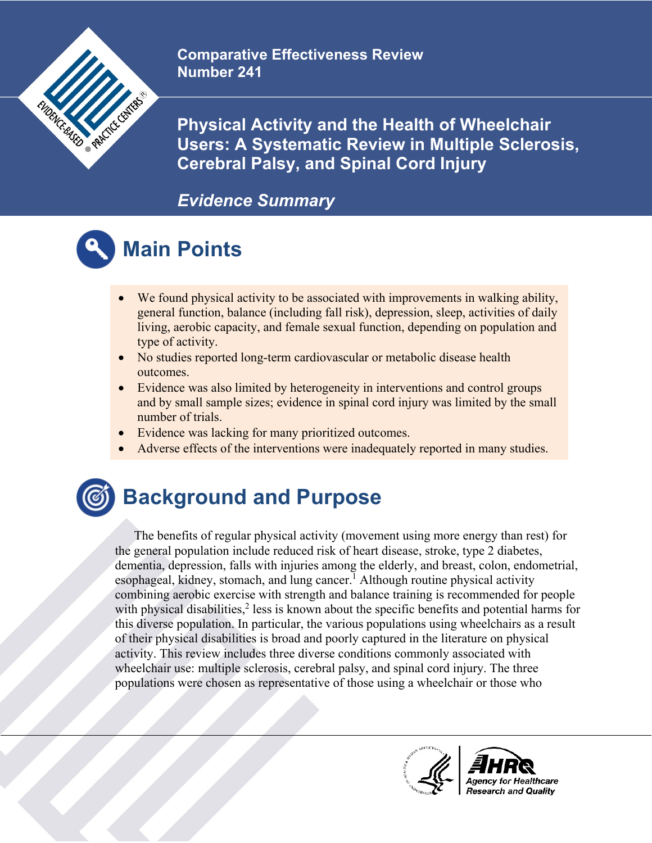

**Comparative Effectiveness Review Number 241**

**Physical Activity and the Health of Wheelchair Users: A Systematic Review in Multiple Sclerosis, Cerebral Palsy, and Spinal Cord Injury**

#### *Evidence Summary*

# **Main Points**

- We found physical activity to be associated with improvements in walking ability, general function, balance (including fall risk), depression, sleep, activities of daily living, aerobic capacity, and female sexual function, depending on population and type of activity.
- No studies reported long-term cardiovascular or metabolic disease health outcomes.
- Evidence was also limited by heterogeneity in interventions and control groups and by small sample sizes; evidence in spinal cord injury was limited by the small number of trials.
- Evidence was lacking for many prioritized outcomes.
- Adverse effects of the interventions were inadequately reported in many studies.

### **Background and Purpose**

The benefits of regular physical activity (movement using more energy than rest) for the general population include reduced risk of heart disease, stroke, type 2 diabetes, dementia, depression, falls with injuries among the elderly, and breast, colon, endometrial, esophageal, kidney, stomach, and lung cancer.<sup>1</sup> Although routine physical activity combining aerobic exercise with strength and balance training is recommended for people with physical disabilities, $\frac{2}{3}$  less is known about the specific benefits and potential harms for this diverse population. In particular, the various populations using wheelchairs as a result of their physical disabilities is broad and poorly captured in the literature on physical activity. This review includes three diverse conditions commonly associated with wheelchair use: multiple sclerosis, cerebral palsy, and spinal cord injury. The three populations were chosen as representative of those using a wheelchair or those who



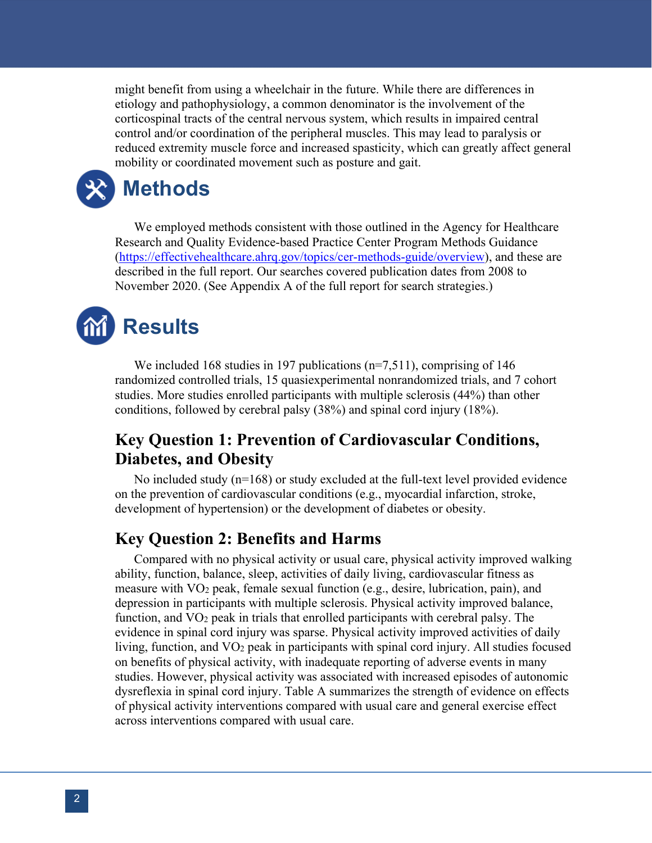might benefit from using a wheelchair in the future. While there are differences in etiology and pathophysiology, a common denominator is the involvement of the corticospinal tracts of the central nervous system, which results in impaired central control and/or coordination of the peripheral muscles. This may lead to paralysis or reduced extremity muscle force and increased spasticity, which can greatly affect general mobility or coordinated movement such as posture and gait.

### **Methods**

We employed methods consistent with those outlined in the Agency for Healthcare Research and Quality Evidence-based Practice Center Program Methods Guidance [\(https://effectivehealthcare.ahrq.gov/topics/cer-methods-guide/overview\)](https://effectivehealthcare.ahrq.gov/topics/cer-methods-guide/overview), and these are described in the full report. Our searches covered publication dates from 2008 to November 2020. (See Appendix A of the full report for search strategies.)

## **Results**

We included 168 studies in 197 publications (n=7,511), comprising of 146 randomized controlled trials, 15 quasiexperimental nonrandomized trials, and 7 cohort studies. More studies enrolled participants with multiple sclerosis (44%) than other conditions, followed by cerebral palsy (38%) and spinal cord injury (18%).

#### **Key Question 1: Prevention of Cardiovascular Conditions, Diabetes, and Obesity**

No included study (n=168) or study excluded at the full-text level provided evidence on the prevention of cardiovascular conditions (e.g., myocardial infarction, stroke, development of hypertension) or the development of diabetes or obesity.

#### **Key Question 2: Benefits and Harms**

Compared with no physical activity or usual care, physical activity improved walking ability, function, balance, sleep, activities of daily living, cardiovascular fitness as measure with VO2 peak, female sexual function (e.g., desire, lubrication, pain), and depression in participants with multiple sclerosis. Physical activity improved balance, function, and VO2 peak in trials that enrolled participants with cerebral palsy. The evidence in spinal cord injury was sparse. Physical activity improved activities of daily living, function, and VO2 peak in participants with spinal cord injury. All studies focused on benefits of physical activity, with inadequate reporting of adverse events in many studies. However, physical activity was associated with increased episodes of autonomic dysreflexia in spinal cord injury. Table A summarizes the strength of evidence on effects of physical activity interventions compared with usual care and general exercise effect across interventions compared with usual care.

 $\overline{a}$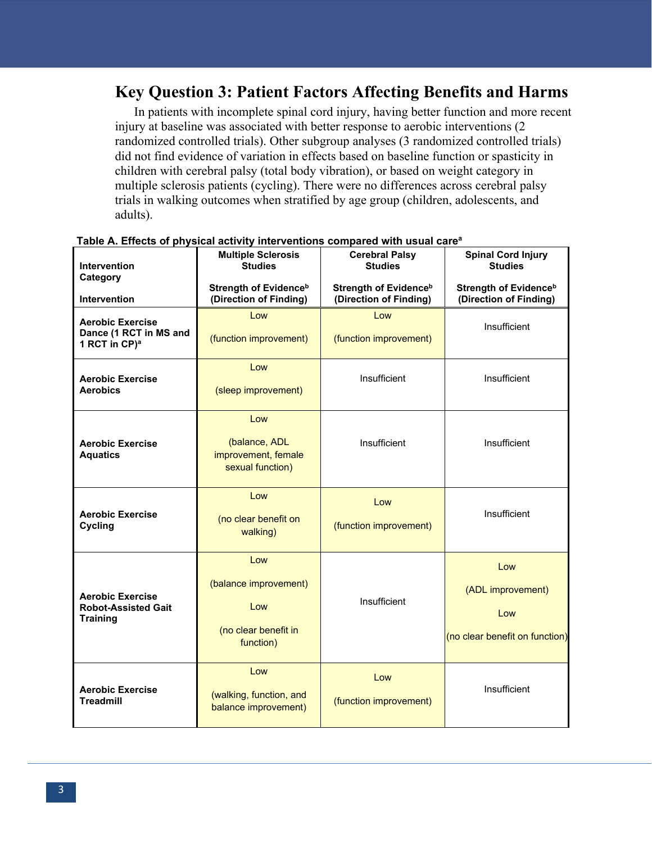#### **Key Question 3: Patient Factors Affecting Benefits and Harms**

In patients with incomplete spinal cord injury, having better function and more recent injury at baseline was associated with better response to aerobic interventions (2 randomized controlled trials). Other subgroup analyses (3 randomized controlled trials) did not find evidence of variation in effects based on baseline function or spasticity in children with cerebral palsy (total body vibration), or based on weight category in multiple sclerosis patients (cycling). There were no differences across cerebral palsy trials in walking outcomes when stratified by age group (children, adolescents, and adults).

| <b>Intervention</b><br>Category                                                | <b>Multiple Sclerosis</b><br><b>Studies</b><br><b>Strength of Evidence</b> <sup>b</sup> | <b>Cerebral Palsy</b><br><b>Studies</b><br>Strength of Evidence <sup>b</sup> | <b>Spinal Cord Injury</b><br><b>Studies</b><br><b>Strength of Evidenceb</b> |
|--------------------------------------------------------------------------------|-----------------------------------------------------------------------------------------|------------------------------------------------------------------------------|-----------------------------------------------------------------------------|
| Intervention                                                                   | (Direction of Finding)                                                                  | (Direction of Finding)                                                       | (Direction of Finding)                                                      |
| <b>Aerobic Exercise</b><br>Dance (1 RCT in MS and<br>1 RCT in CP) <sup>a</sup> | Low<br>(function improvement)                                                           | Low<br>(function improvement)                                                | Insufficient                                                                |
| <b>Aerobic Exercise</b><br><b>Aerobics</b>                                     | Low<br>(sleep improvement)                                                              | Insufficient                                                                 | Insufficient                                                                |
| <b>Aerobic Exercise</b><br><b>Aquatics</b>                                     | Low<br>(balance, ADL<br>improvement, female<br>sexual function)                         | Insufficient                                                                 | Insufficient                                                                |
| <b>Aerobic Exercise</b><br>Cycling                                             | Low<br>(no clear benefit on<br>walking)                                                 | Low<br>(function improvement)                                                | Insufficient                                                                |
| <b>Aerobic Exercise</b><br><b>Robot-Assisted Gait</b><br><b>Training</b>       | Low<br>(balance improvement)<br>Low<br>(no clear benefit in<br>function)                | Insufficient                                                                 | Low<br>(ADL improvement)<br>Low<br>(no clear benefit on function)           |
| <b>Aerobic Exercise</b><br><b>Treadmill</b>                                    | Low<br>(walking, function, and<br>balance improvement)                                  | Low<br>(function improvement)                                                | Insufficient                                                                |

**Table A. Effects of physical activity interventions compared with usual carea**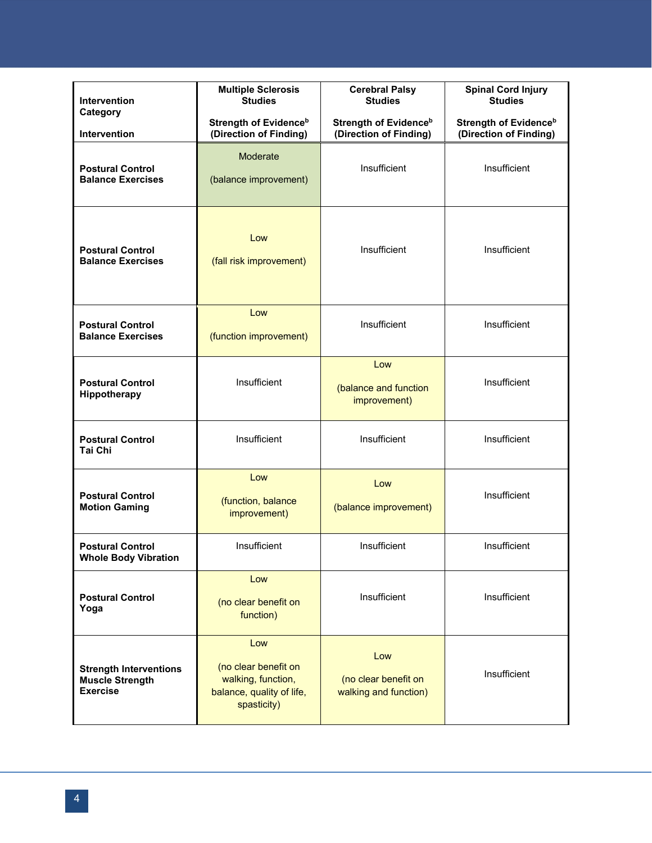| <b>Intervention</b><br>Category                                     | <b>Multiple Sclerosis</b><br><b>Studies</b>                                                   | <b>Cerebral Palsy</b><br><b>Studies</b>                | <b>Spinal Cord Injury</b><br><b>Studies</b>            |
|---------------------------------------------------------------------|-----------------------------------------------------------------------------------------------|--------------------------------------------------------|--------------------------------------------------------|
| <b>Intervention</b>                                                 | <b>Strength of Evidenceb</b><br>(Direction of Finding)                                        | <b>Strength of Evidenceb</b><br>(Direction of Finding) | <b>Strength of Evidenceb</b><br>(Direction of Finding) |
| <b>Postural Control</b><br><b>Balance Exercises</b>                 | Moderate<br>(balance improvement)                                                             | Insufficient                                           | Insufficient                                           |
| <b>Postural Control</b><br><b>Balance Exercises</b>                 | Low<br>(fall risk improvement)                                                                | Insufficient                                           | Insufficient                                           |
| <b>Postural Control</b><br><b>Balance Exercises</b>                 | $\overline{1}$ ow<br>(function improvement)                                                   | Insufficient                                           | Insufficient                                           |
| <b>Postural Control</b><br>Hippotherapy                             | Insufficient                                                                                  | Low<br>(balance and function<br>improvement)           | Insufficient                                           |
| <b>Postural Control</b><br>Tai Chi                                  | Insufficient                                                                                  | Insufficient                                           | Insufficient                                           |
| <b>Postural Control</b><br><b>Motion Gaming</b>                     | Low<br>(function, balance<br>improvement)                                                     | Low<br>(balance improvement)                           | Insufficient                                           |
| <b>Postural Control</b><br>Whole Body Vibration                     | Insufficient                                                                                  | Insufficient                                           | Insufficient                                           |
| <b>Postural Control</b><br>Yoga                                     | Low<br>(no clear benefit on<br>function)                                                      | Insufficient                                           | Insufficient                                           |
| <b>Strength Interventions</b><br>Muscle Strength<br><b>Exercise</b> | Low<br>(no clear benefit on<br>walking, function,<br>balance, quality of life,<br>spasticity) | Low<br>(no clear benefit on<br>walking and function)   | Insufficient                                           |

 $\overline{a}$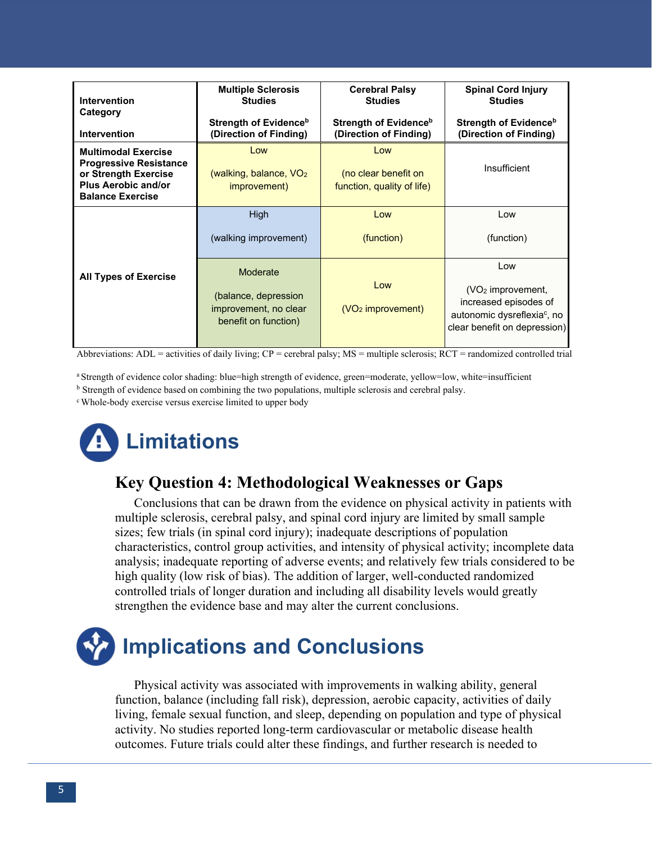| Intervention<br>Category                                                                                                                     | <b>Multiple Sclerosis</b><br><b>Studies</b>                                       | <b>Cerebral Palsy</b><br><b>Studies</b>                     | <b>Spinal Cord Injury</b><br><b>Studies</b>                                                                                    |
|----------------------------------------------------------------------------------------------------------------------------------------------|-----------------------------------------------------------------------------------|-------------------------------------------------------------|--------------------------------------------------------------------------------------------------------------------------------|
| <b>Intervention</b>                                                                                                                          | Strength of Evidence <sup>b</sup><br>(Direction of Finding)                       | Strength of Evidence <sup>b</sup><br>(Direction of Finding) | Strength of Evidence <sup>b</sup><br>(Direction of Finding)                                                                    |
| <b>Multimodal Exercise</b><br><b>Progressive Resistance</b><br>or Strength Exercise<br><b>Plus Aerobic and/or</b><br><b>Balance Exercise</b> | Low<br>(walking, balance, $VO2$<br>improvement)                                   | Low<br>(no clear benefit on<br>function, quality of life)   | Insufficient                                                                                                                   |
| <b>All Types of Exercise</b>                                                                                                                 | <b>High</b><br>(walking improvement)                                              | Low<br>(function)                                           | Low<br>(function)                                                                                                              |
|                                                                                                                                              | Moderate<br>(balance, depression<br>improvement, no clear<br>benefit on function) | Low<br>$(VO2$ improvement)                                  | Low<br>$(VO2$ improvement,<br>increased episodes of<br>autonomic dysreflexia <sup>c</sup> , no<br>clear benefit on depression) |

Abbreviations: ADL = activities of daily living;  $CP$  = cerebral palsy; MS = multiple sclerosis; RCT = randomized controlled trial

a Strength of evidence color shading: blue=high strength of evidence, green=moderate, yellow=low, white=insufficient

<sup>b</sup> Strength of evidence based on combining the two populations, multiple sclerosis and cerebral palsy.

c Whole-body exercise versus exercise limited to upper body

## **Limitations**

#### **Key Question 4: Methodological Weaknesses or Gaps**

Conclusions that can be drawn from the evidence on physical activity in patients with multiple sclerosis, cerebral palsy, and spinal cord injury are limited by small sample sizes; few trials (in spinal cord injury); inadequate descriptions of population characteristics, control group activities, and intensity of physical activity; incomplete data analysis; inadequate reporting of adverse events; and relatively few trials considered to be high quality (low risk of bias). The addition of larger, well-conducted randomized controlled trials of longer duration and including all disability levels would greatly strengthen the evidence base and may alter the current conclusions.

## **Implications and Conclusions**

Physical activity was associated with improvements in walking ability, general function, balance (including fall risk), depression, aerobic capacity, activities of daily living, female sexual function, and sleep, depending on population and type of physical activity. No studies reported long-term cardiovascular or metabolic disease health outcomes. Future trials could alter these findings, and further research is needed to